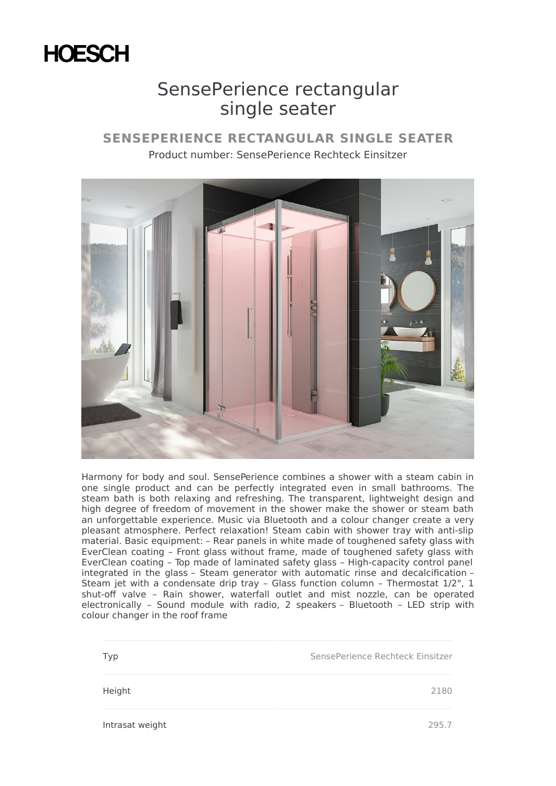## **HOESCH**

## SensePerience rectangular single seater

## **SENSEPERIENCE RECTANGULAR SINGLE SEATER** Product number: SensePerience Rechteck Einsitzer



Harmony for body and soul. SensePerience combines a shower with a steam cabin in one single product and can be perfectly integrated even in small bathrooms. The steam bath is both relaxing and refreshing. The transparent, lightweight design and high degree of freedom of movement in the shower make the shower or steam bath an unforgettable experience. Music via Bluetooth and a colour changer create a very pleasant atmosphere. Perfect relaxation! Steam cabin with shower tray with anti-slip material. Basic equipment: – Rear panels in white made of toughened safety glass with EverClean coating – Front glass without frame, made of toughened safety glass with EverClean coating – Top made of laminated safety glass – High-capacity control panel integrated in the glass – Steam generator with automatic rinse and decalcification – Steam jet with a condensate drip tray - Glass function column - Thermostat 1/2", 1 shut-off valve – Rain shower, waterfall outlet and mist nozzle, can be operated electronically – Sound module with radio, 2 speakers – Bluetooth – LED strip with colour changer in the roof frame

| Typ             | SensePerience Rechteck Einsitzer |
|-----------------|----------------------------------|
| Height          | 2180                             |
| Intrasat weight | 2957                             |